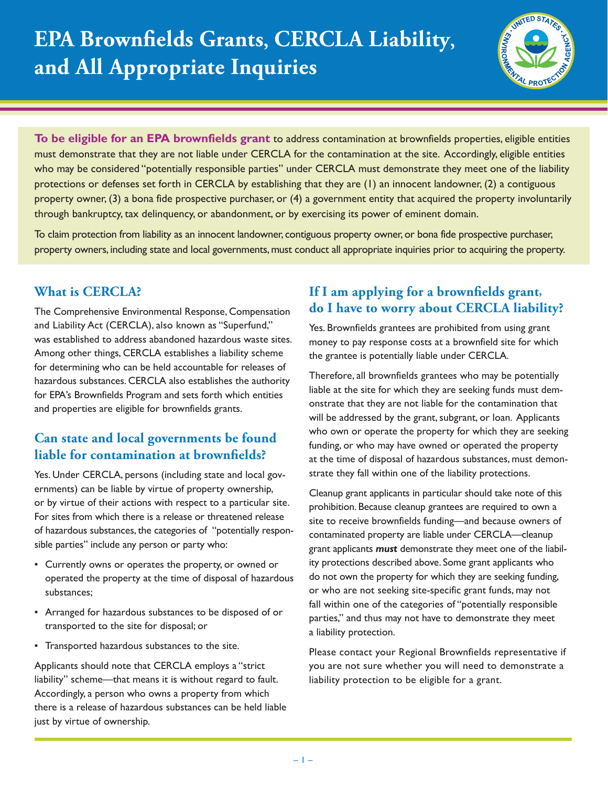

**To be eligible for an EPA brownfields grant** to address contamination at brownfields properties, eligible entities must demonstrate that they are not liable under CERCLA for the contamination at the site. Accordingly, eligible entities who may be considered "potentially responsible parties" under CERCLA must demonstrate they meet one of the liability protections or defenses set forth in CERCLA by establishing that they are (1) an innocent landowner, (2) a contiguous property owner, (3) a bona fide prospective purchaser, or (4) a government entity that acquired the property involuntarily through bankruptcy, tax delinquency, or abandonment, or by exercising its power of eminent domain.

To claim protection from liability as an innocent landowner, contiguous property owner, or bona fide prospective purchaser, property owners, including state and local governments, must conduct all appropriate inquiries prior to acquiring the property.

#### **What is CERCLA?**

The Comprehensive Environmental Response, Compensation and Liability Act (CERCLA), also known as "Superfund," was established to address abandoned hazardous waste sites. Among other things, CERCLA establishes a liability scheme for determining who can be held accountable for releases of hazardous substances. CERCLA also establishes the authority for EPA's Brownfields Program and sets forth which entities and properties are eligible for brownfields grants.

# **Can state and local governments be found liable for contamination at brownfields?**

Yes. Under CERCLA, persons (including state and local governments) can be liable by virtue of property ownership, or by virtue of their actions with respect to a particular site. For sites from which there is a release or threatened release of hazardous substances, the categories of "potentially responsible parties" include any person or party who:

- ƒ Currently owns or operates the property, or owned or operated the property at the time of disposal of hazardous substances;
- Arranged for hazardous substances to be disposed of or transported to the site for disposal; or
- ƒ Transported hazardous substances to the site.

Applicants should note that CERCLA employs a "strict liability" scheme—that means it is without regard to fault. Accordingly, a person who owns a property from which there is a release of hazardous substances can be held liable just by virtue of ownership.

### If I am applying for a brownfields grant, **do I have to worry about CERCLA liability?**

Yes. Brownfields grantees are prohibited from using grant money to pay response costs at a brownfield site for which the grantee is potentially liable under CERCLA.

Therefore, all brownfields grantees who may be potentially liable at the site for which they are seeking funds must demonstrate that they are not liable for the contamination that will be addressed by the grant, subgrant, or loan. Applicants who own or operate the property for which they are seeking funding, or who may have owned or operated the property at the time of disposal of hazardous substances, must demonstrate they fall within one of the liability protections.

Cleanup grant applicants in particular should take note of this prohibition. Because cleanup grantees are required to own a site to receive brownfields funding—and because owners of contaminated property are liable under CERCLA—cleanup grant applicants *must* demonstrate they meet one of the liability protections described above. Some grant applicants who do not own the property for which they are seeking funding, or who are not seeking site-specific grant funds, may not fall within one of the categories of "potentially responsible parties," and thus may not have to demonstrate they meet a liability protection.

Please contact your Regional Brownfields representative if you are not sure whether you will need to demonstrate a liability protection to be eligible for a grant.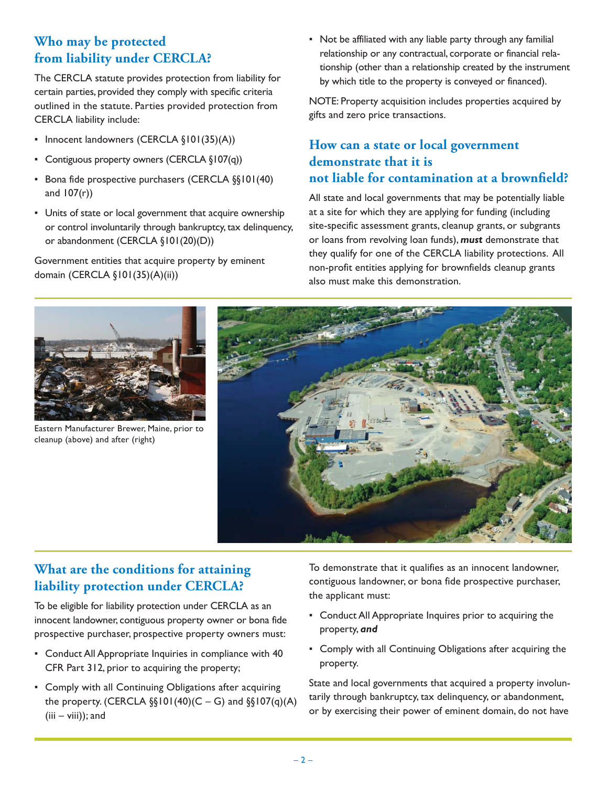## **Who may be protected from liability under CERCLA?**

The CERCLA statute provides protection from liability for certain parties, provided they comply with specific criteria outlined in the statute. Parties provided protection from CERCLA liability include:

- Innocent landowners (CERCLA §101(35)(A))
- Contiguous property owners (CERCLA §107(q))
- **Bona fide prospective purchasers (CERCLA §§101(40)** and  $107(r)$ )
- Units of state or local government that acquire ownership or control involuntarily through bankruptcy, tax delinquency, or abandonment (CERCLA §101(20)(D))

Government entities that acquire property by eminent domain (CERCLA §101(35)(A)(ii))

• Not be affiliated with any liable party through any familial relationship or any contractual, corporate or financial relationship (other than a relationship created by the instrument by which title to the property is conveyed or financed).

NOTE: Property acquisition includes properties acquired by gifts and zero price transactions.

#### **How can a state or local government demonstrate that it is not liable for contamination at a brownfield?**

All state and local governments that may be potentially liable at a site for which they are applying for funding (including site-specific assessment grants, cleanup grants, or subgrants or loans from revolving loan funds), *must* demonstrate that they qualify for one of the CERCLA liability protections. All non-profit entities applying for brownfields cleanup grants also must make this demonstration.



Eastern Manufacturer Brewer, Maine, prior to cleanup (above) and after (right)



## **What are the conditions for attaining liability protection under CERCLA?**

To be eligible for liability protection under CERCLA as an innocent landowner, contiguous property owner or bona fide prospective purchaser, prospective property owners must:

- ƒ Conduct All Appropriate Inquiries in compliance with 40 CFR Part 312, prior to acquiring the property;
- Comply with all Continuing Obligations after acquiring the property. (CERCLA  $\S(101(40)(C - G)$  and  $\S(107(q)(A))$  $(iii - viii)$ ; and

To demonstrate that it qualifies as an innocent landowner, contiguous landowner, or bona fide prospective purchaser, the applicant must:

- **Conduct All Appropriate Inquires prior to acquiring the** property, *and*
- Comply with all Continuing Obligations after acquiring the property.

State and local governments that acquired a property involuntarily through bankruptcy, tax delinquency, or abandonment, or by exercising their power of eminent domain, do not have